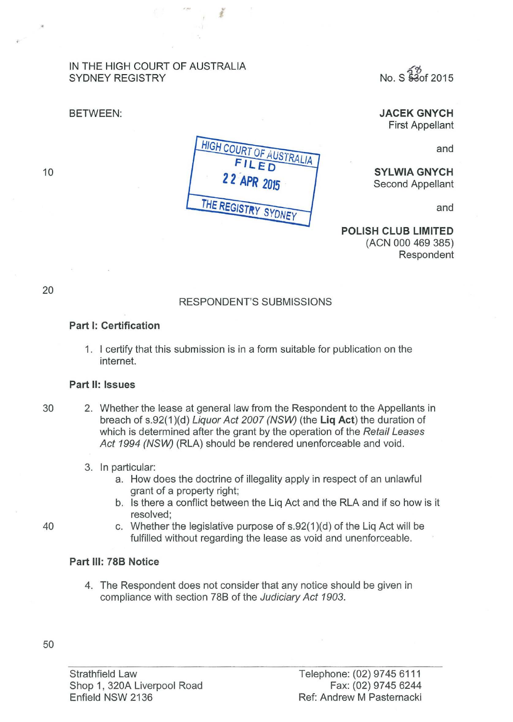## IN THE HIGH COURT OF AUSTRALIA SYDNEY REGISTRY

## BETWEEN:

~"6 No. S 8aof 2015

JACEK GNYCH First Appellant

and



l

SYLWIA GNYCH Second Appellant

and

POLISH CLUB LIMITED (ACN 000 469 385) Respondent

20

10

# RESPONDENT'S SUBMISSIONS

## Part 1: Certification

1. I certify that this submission is in a form suitable for publication on the internet.

### Part II: Issues

30 2. Whether the lease at general law from the Respondent to the Appellants in breach of s.92(1)(d) Liquor Act 2007 (NSW) (the Liq Act) the duration of which is determined after the grant by the operation of the Retail Leases Act 1994 (NSW) (RLA) should be rendered unenforceable and void.

### 3. In particular:

- a. How does the doctrine of illegality apply in respect of an unlawful grant of a property right;
- b. Is there a conflict between the Liq Act and the RLA and if so how is it resolved;
- 40 c. Whether the legislative purpose of s.92(1 )(d) of the Liq Act will be fulfilled without regarding the lease as void and unenforceable.

# Part Ill: 788 Notice

4. The Respondent does not consider that any notice should be given in compliance with section 78B of the Judiciary Act 1903.

Strathfield Law Shop 1, 320A Liverpool Road Enfield NSW 2136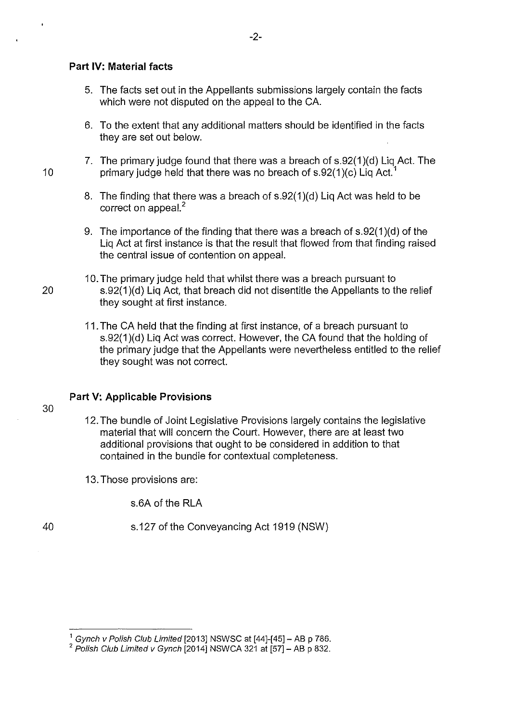### **Part IV: Material facts**

- 5. The facts set out in the Appellants submissions largely contain the facts which were not disputed on the appeal to the CA.
- 6. To the extent that any additional matters should be identified in the facts they are set out below.
- 7. The primary judge found that there was a breach of s.92(1 )(d) Liq Act. The 10 primary judge held that there was no breach of s.92(1)(c) Liq Act.
	- 8. The finding that there was a breach of s.92(1)(d) Liq Act was held to be correct on appeal.<sup>2</sup>
	- 9. The importance of the finding that there was a breach of s.92(1 )(d) of the Liq Act at first instance is that the result that flowed from that finding raised the central issue of contention on appeal.
- 10. The primary judge held that whilst there was a breach pursuant to 20 s.92(1 )(d) Liq Act, that breach did not disentitle the Appellants to the relief they sought at first instance.
	- 11. The CA held that the finding at first instance, of a breach pursuant to s.92(1)(d) Lig Act was correct. However, the CA found that the holding of the primary judge that the Appellants were nevertheless entitled to the relief they sought was not correct.

### **Part V: Applicable Provisions**

30

- 12. The bundle of Joint Legislative Provisions largely contains the legislative material that will concern the Court. However, there are at least two additional provisions that ought to be considered in addition to that contained in the bundle for contextual completeness.
- 13. Those provisions are:

s.6A of the RLA

40 s.127 of the Conveyancing Act 1919 (NSW)

 $1$  Gynch v Polish Club Limited [2013] NSWSC at  $[44]-[45]$  - AB p 786.

 $2$  Polish Club Limited v Gynch [2014] NSWCA 321 at [57] - AB p 832.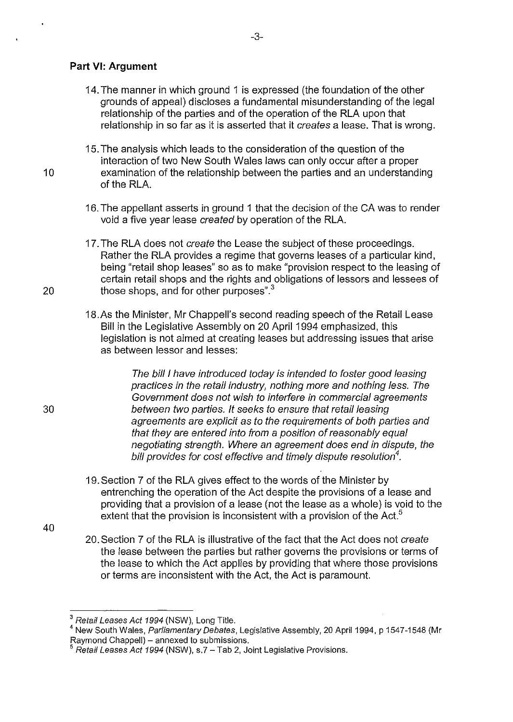## **Part** VI: **Argument**

- 14. The manner in which ground 1 is expressed (the foundation of the other grounds of appeal) discloses a fundamental misunderstanding of the legal relationship of the parties and of the operation of the RLA upon that relationship in so far as it is asserted that it *creates* a lease. That is wrong.
- 15. The analysis which leads to the consideration of the question of the interaction of two New South Wales laws can only occur after a proper 10 examination of the relationship between the parties and an understanding of the RLA.
	- 16. The appellant asserts in ground 1 that the decision of the CA was to render void a five year lease created by operation of the RLA.
- 17. The RLA does not create the Lease the subject of these proceedings. Rather the RLA provides a regime that governs leases of a particular kind, being "retail shop leases" so as to make "provision respect to the leasing of certain retail shops and the rights and obligations of lessors and lessees of 20 those shops, and for other purposes".<sup>3</sup>
	- 18.As the Minister, Mr Chappell's second reading speech of the Retail Lease Bill in the Legislative Assembly on 20 April 1994 emphasized, this legislation is not aimed at creating leases but addressing issues that arise as between lessor and lesses:

The bill I have introduced today is intended to foster good leasing practices in the retail industry, nothing more and nothing less. The Government does not wish to interfere in commercial agreements between two parties. It seeks to ensure that retail leasing agreements are explicit as to the requirements of both parties and that they are entered into from a position of reasonably equal negotiating strength. Where an agreement does end in dispute, the bill provides for cost effective and timely dispute resolution*<sup>4</sup> .* 

19. Section 7 of the RLA gives effect to the words of the Minister by entrenching the operation of the Act despite the provisions of a lease and providing that a provision of a lease (not the lease as a whole) is void to the extent that the provision is inconsistent with a provision of the Act.<sup>5</sup>

40

30

20. Section 7 of the RLA is illustrative of the fact that the Act does not create the lease between the parties but rather governs the provisions or terms of the lease to which the Act applies by providing that where those provisions or terms are inconsistent with the Act, the Act is paramount.

<sup>&</sup>lt;sup>3</sup> Retail Leases Act 1994 (NSW), Long Title.

<sup>&</sup>lt;sup>4</sup> New South Wales, Parliamentary Debates, Legislative Assembly, 20 April 1994, p 1547-1548 (Mr Raymond Chappell) – annexed to submissions.

Retail Leases Act 1994 (NSW), s.7 - Tab 2, Joint Legislative Provisions.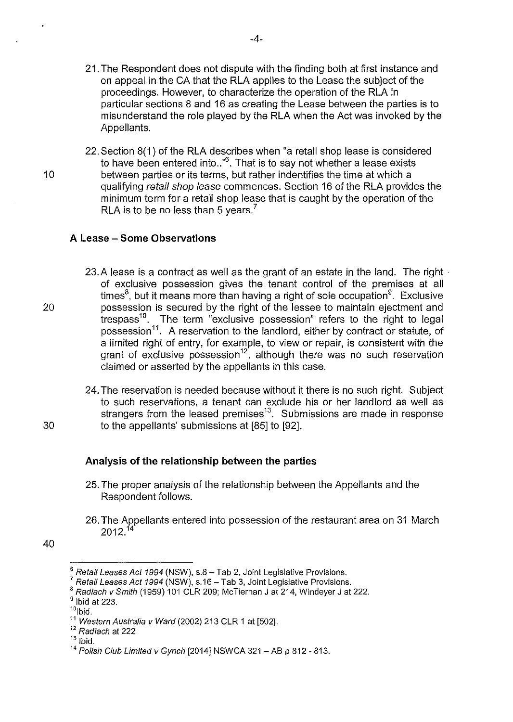- 21. The Respondent does not dispute with the finding both at first instance and on appeal in theCA that the RLA applies to the Lease the subject of the proceedings. However, to characterize the operation of the RLA in particular sections 8 and 16 as creating the Lease between the parties is to misunderstand the role played by the RLA when the Act was invoked by the Appellants.
- 22. Section 8(1) of the RLA describes when "a retail shop lease is considered to have been entered into  $\cdot$ <sup>6</sup>. That is to say not whether a lease exists 10 between parties or its terms, but rather indentifies the time at which a qualifying retail shop lease commences. Section 16 of the RLA provides the minimum term for a retail shop lease that is caught by the operation of the RLA is to be no less than 5 years.<sup>7</sup>

### **A Lease- Some Observations**

- 23. A lease is a contract as well as the grant of an estate in the land. The right  $\cdot$ of exclusive possession gives the tenant control of the premises at all times $^8$ , but it means more than having a right of sole occupation $^9$ . Exclusive 20 possession is secured by the right of the lessee to maintain ejectment and trespass<sup>10</sup>. The term "exclusive possession" refers to the right to legal possession<sup>11</sup>. A reservation to the landlord, either by contract or statute, of a limited right of entry, for example, to view or repair, is consistent with the grant of exclusive possession<sup>12</sup>, although there was no such reservation claimed or asserted by the appellants in this case.
- 24. The reservation is needed because without it there is no such right. Subject to such reservations, a tenant can exclude his or her landlord as well as strangers from the leased premises $13$ . Submissions are made in response 30 to the appellants' submissions at [85] to [92].

# **Analysis of the relationship between the parties**

- 25. The proper analysis of the relationship between the Appellants and the Respondent follows.
- 26. The Appellants entered into possession of the restaurant area on 31 March  $2012^{14}$

<sup>40</sup> 

Retail Leases Act 1994 (NSW), s.8 - Tab 2, Joint Legislative Provisions.

Retail Leases Act 1994 (NSW), s.16 - Tab 3, Joint Legislative Provisions.

 $8$  Radiach v Smith (1959) 101 CLR 209; McTiernan J at 214, Windeyer J at 222.

 $<sup>9</sup>$  Ibid at 223.</sup>

 $10$ <sub>lbid</sub>.

<sup>&</sup>lt;sup>11</sup> Western Australia v Ward (2002) 213 CLR 1 at [502].

<sup>&</sup>lt;sup>12</sup> Radiach at 222

 $13$  lbid.

 $14$  Polish Club Limited v Gynch [2014] NSWCA 321 - AB p 812 - 813.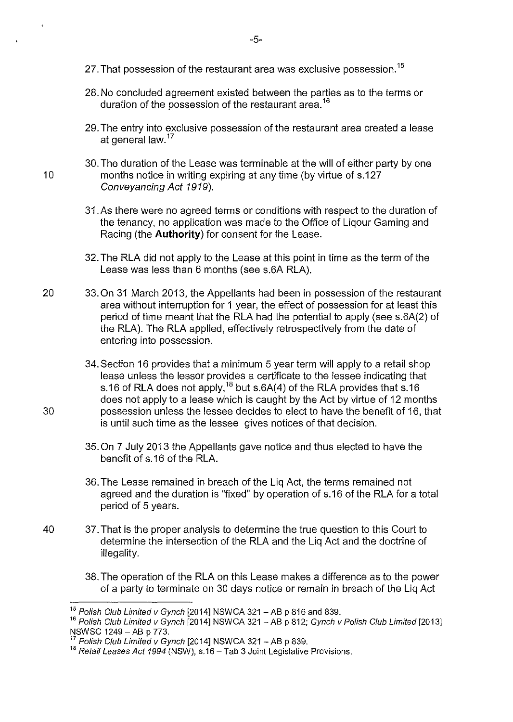- 27. That possession of the restaurant area was exclusive possession.<sup>15</sup>
- 28. No concluded agreement existed between the parties as to the terms or duration of the possession of the restaurant area.<sup>16</sup>
- 29. The entry into exclusive possession of the restaurant area created a lease at general law. $17$
- 30. The duration of the Lease was terminable at the will of either party by one 10 months notice in writing expiring at any time (by virtue of s.127 Conveyancing Act 1919).
	- 31.As there were no agreed terms or conditions with respect to the duration of the tenancy, no application was made to the Office of Liqour Gaming and Racing (the **Authority)** for consent for the Lease.
	- 32. The RLA did not apply to the Lease at this point in time as the term of the Lease was less than 6 months (see s.6A RLA).
- 20 33. On 31 March 2013, the Appellants had been in possession of the restaurant area without interruption for 1 year, the effect of possession for at least this period of time meant that the RLA had the potential to apply (see s.6A(2) of the RLA). The RLA applied, effectively retrospectively from the date of entering into possession.
- 34. Section 16 provides that a minimum 5 year term will apply to a retail shop lease unless the lessor provides a certificate to the lessee indicating that s.16 of RLA does not apply,<sup>18</sup> but s.6A(4) of the RLA provides that s.16 does not apply to a lease which is caught by the Act by virtue of 12 months 30 possession unless the lessee decides to elect to have the benefit of 16, that is until such time as the lessee gives notices of that decision.
	- 35. On 7 July 2013 the Appellants gave notice and thus elected to have the benefit of s.16 of the RLA.
	- 36. The Lease remained in breach of the Liq Act, the terms remained not agreed and the duration is "fixed" by operation of s.16 of the RLA for a total period of 5 years.
- 40 37. That is the proper analysis to determine the true question to this Court to determine the intersection of the RLA and the Liq Act and the doctrine of illegality.
	- 38. The operation of the RLA on this Lease makes a difference as to the power of a party to terminate on 30 days notice or remain in breach of the Liq Act

 $15$  Polish Club Limited v Gynch [2014] NSWCA 321 - AB p 816 and 839.

 $16$  Polish Club Limited v Gynch [2014] NSWCA 321 - AB p 812; Gynch v Polish Club Limited [2013] NSWSC 1249- AB p 773.

<sup>7</sup> Polish Club Limited v Gynch [2014] NSWCA 321 - AB p 839.

 $18$  Retail Leases Act 1994 (NSW), s.16 - Tab 3 Joint Legislative Provisions.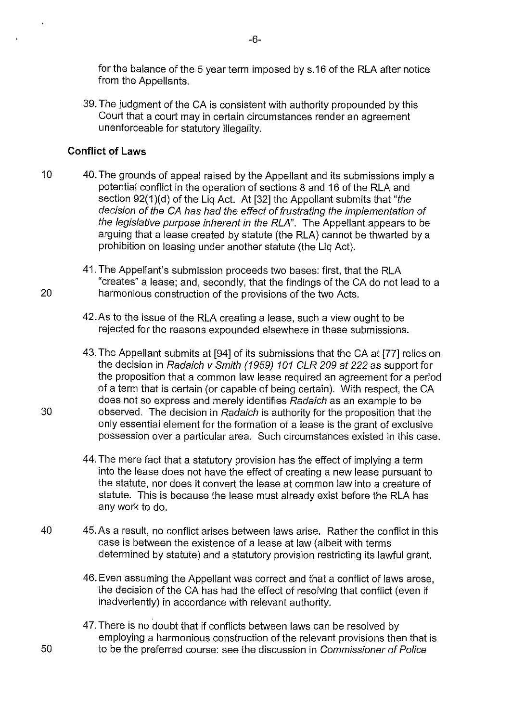for the balance of the 5 year term imposed by s.16 of the RLA after notice from the Appellants.

39. The judgment of the CA is consistent with authority propounded by this Court that a court may in certain circumstances render an agreement unenforceable for statutory illegality.

# **Conflict of Laws**

10 40. The grounds of appeal raised by the Appellant and its submissions imply a potential conflict in the operation of sections 8 and 16 of the RLA and section 92(1)(d) of the Lig Act. At [32] the Appellant submits that "the decision of the CA has had the effect of frustrating the implementation of the legislative purpose inherent in the RLA". The Appellant appears to be arguing that a lease created by statute (the RLA) cannot be thwarted by a prohibition on leasing under another statute (the Liq Act).

41. The Appellant's submission proceeds two bases: first, that the RLA "creates" a lease; and, secondly, that the findings of theCA do not lead to a 20 harmonious construction of the provisions of the two Acts.

- 42.As to the issue of the RLA creating a lease, such a view ought to be rejected for the reasons expounded elsewhere in these submissions.
- 43. The Appellant submits at [94] of its submissions that the CA at [77] relies on the decision in Radaich v Smith (1959) 101 CLR 209 at 222 as support for the proposition that a common law lease required an agreement for a period of a term that is certain (or capable of being certain). With respect, theCA does not so express and merely identifies Radaich as an example to be 30 observed. The decision in Radaich is authority for the proposition that the only essential element for the formation of a lease is the grant of exclusive possession over a particular area. Such circumstances existed in this case.
	- 44. The mere fact that a statutory provision has the effect of implying a term into the lease does not have the effect of creating a new lease pursuant to the statute, nor does it convert the lease at common law into a creature of statute. This is because the lease must already exist before the RLA has any work to do.
- 40 45.As a result, no conflict arises between laws arise. Rather the conflict in this case is between the existence of a lease at law (albeit with terms determined by statute) and a statutory provision restricting its lawful grant.
	- 46. Even assuming the Appellant was correct and that a conflict of laws arose, the decision of the CA has had the effect of resolving that conflict (even if inadvertently) in accordance with relevant authority.
- 47. There is no doubt that if conflicts between laws can be resolved by employing a harmonious construction of the relevant provisions then that is 50 to be the preferred course: see the discussion in Commissioner of Police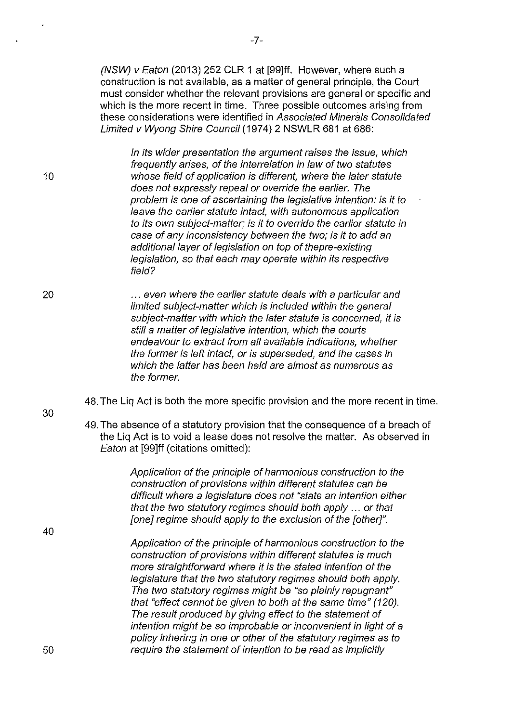(NSW) v Eaton (2013) 252 CLR 1 at [99]ff. However, where such a construction is not available, as a matter of general principle, the Court must consider whether the relevant provisions are general or specific and which is the more recent in time. Three possible outcomes arising from these considerations were identified in Associated Minerals Consolidated Limited v Wyong Shire Council (1974) 2 NSWLR 681 at 686:

In its wider presentation the argument raises the issue, which frequently arises, of the interrelation in law of two statutes whose field of application is different, where the later statute does not expressly repeal or override the earlier. The problem is one of ascertaining the legislative intention: is it to leave the earlier statute intact, with autonomous application to its own subject-matter; is it to override the earlier statute in case of any inconsistency between the two; is it to add an additional layer of legislation on top of the pre-existing legislation, so that each may operate within its respective field?

20 ... even where the earlier statute deals with a particular and limited subject-matter which is included within the general subject-matter with which the later statute is concerned, it is still a matter of legislative intention, which the courts endeavour to extract from all available indications, whether the former is left intact, or is superseded, and the cases in which the latter has been held are almost as numerous as the former.

48. The Liq Act is both the more specific provision and the more recent in time.

49. The absence of a statutory provision that the consequence of a breach of the Liq Act is to void a lease does not resolve the matter. As observed in Eaton at [99]ff (citations omitted):

> Application of the principle of harmonious construction to the construction of provisions within different statutes can be difficult where a legislature does not "state an intention either that the two statutory regimes should both apply ... or that [one] regime should apply to the exclusion of the [other]".

Application of the principle of harmonious construction to the construction of provisions within different statutes is much more straightforward where it is the stated intention of the legislature that the two statutory regimes should both apply. The two statutory regimes might be "so plainly repugnant" that "effect cannot be given to both at the same time" (120). The result produced by giving effect to the statement of intention might be so improbable or inconvenient in light of a policy inhering in one or other of the statutory regimes as to require the statement of intention to be read as implicitly

30

10

40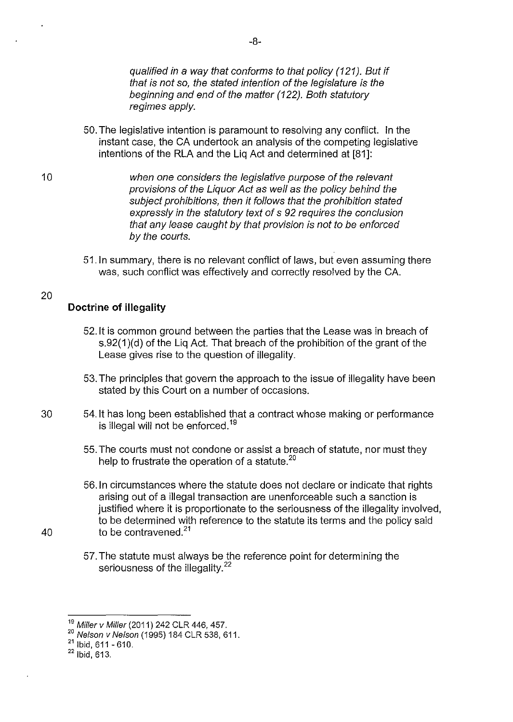qualified in a way that conforms to that policy (121). But if that is not so, the stated intention of the legislature is the beginning and end of the matter (122). Both statutory regimes apply.

- 50. The legislative intention is paramount to resolving any conflict. In the instant case, the CA undertook an analysis of the competing legislative intentions of the RLA and the Liq Act and determined at [81]:
- when one considers the legislative purpose of the relevant provisions of the Liquor Act as well as the policy behind the subject prohibitions, then it follows that the prohibition stated expressly in the statutory text of s 92 requires the conclusion that any lease caught by that provision is not to be enforced by the courts.
	- 51.1n summary, there is no relevant conflict of laws, but even assuming there was, such conflict was effectively and correctly resolved by the CA.

# **Doctrine of illegality**

- 52. It is common ground between the parties that the Lease was in breach of s.92(1)(d) of the Liq Act. That breach of the prohibition of the grant of the Lease gives rise to the question of illegality.
- 53. The principles that govern the approach to the issue of illegality have been stated by this Court on a number of occasions.
- 30 54. It has long been established that a contract whose making or performance is illegal will not be enforced.<sup>19</sup>
	- 55. The courts must not condone or assist a breach of statute, nor must they help to frustrate the operation of a statute.<sup>20</sup>
- 56.1n circumstances where the statute does not declare or indicate that rights arising out of a illegal transaction are unenforceable such a sanction is justified where it is proportionate to the seriousness of the illegality involved, to be determined with reference to the statute its terms and the policy said 40 to be contravened. $21$ 
	- 57. The statute must always be the reference point for determining the seriousness of the illegality.<sup>22</sup>

10

<sup>&</sup>lt;sup>19</sup> Miller v Miller (2011) 242 CLR 446, 457.

<sup>&</sup>lt;sup>20</sup> Nelson v Nelson (1995) 184 CLR 538, 611.

 $21$  Ibid, 611 - 610.

 $22$  Ibid, 613.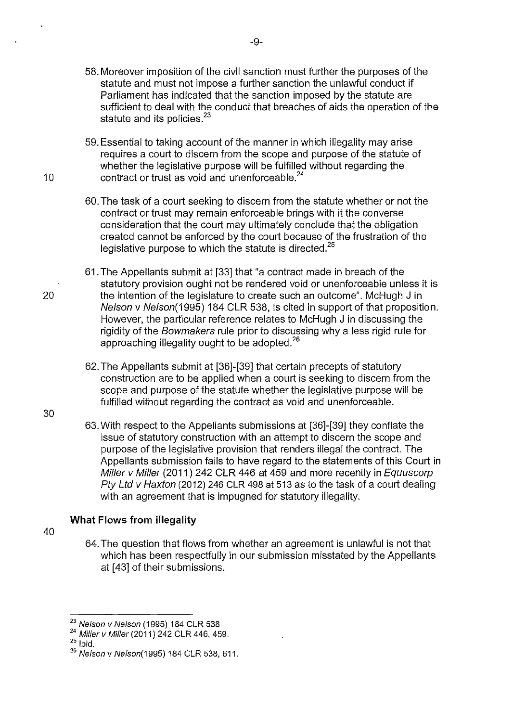- 58. Moreover imposition of the civil sanction must further the purposes of the statute and must not impose a further sanction the unlawful conduct if Parliament has indicated that the sanction imposed by the statute are sufficient to deal with the conduct that breaches of aids the operation of the statute and its policies.<sup>23</sup>
- 59. Essential to taking account of the manner in which illegality may arise requires a court to discern from the scope and purpose of the statute of whether the legislative purpose will be fulfilled without regarding the 10 contract or trust as void and unenforceable.<sup>24</sup>
	- 60. The task of a court seeking to discern from the statute whether or not the contract or trust may remain enforceable brings with it the converse consideration that the court may ultimately conclude that the obligation created cannot be enforced by the court because of the frustration of the legislative purpose to which the statute is directed.<sup>25</sup>
- 61. The Appellants submit at [33] that "a contract made in breach of the statutory provision ought not be rendered void or unenforceable unless it is 20 the intention of the legislature to create such an outcome". McHugh J in Nelson v Ne/son(1995) 184 CLR 538, is cited in support of that proposition. However, the particular reference relates to McHugh J in discussing the rigidity of the Bowmakers rule prior to discussing why a less rigid rule for approaching illegality ought to be adopted.<sup>26</sup>
	- 62. The Appellants submit at [36]-[39] that certain precepts of statutory construction are to be applied when a court is seeking to discern from the scope and purpose of the statute whether the legislative purpose will be fulfilled without regarding the contract as void and unenforceable.
	- 63. With respect to the Appellants submissions at [36]-[39] they conflate the issue of statutory construction with an attempt to discern the scope and purpose of the legislative provision that renders illegal the contract. The Appellants submission fails to have regard to the statements of this Court in Miller v Miller (2011) 242 CLR 446 at 459 and more recently in Equuscorp Pty Ltd v Haxton (2012) 246 CLR 498 at 513 as to the task of a court dealing with an agreement that is impugned for statutory illegality.

# **What Flows from illegality**

40

30

64. The question that flows from whether an agreement is unlawful is not that which has been respectfully in our submission misstated by the Appellants at [43] of their submissions.

<sup>&</sup>lt;sup>23</sup> Nelson v Nelson (1995) 184 CLR 538

<sup>24</sup> Miller v Miller (2011) 242 CLR 446, 459.

 $25$  lbid.

<sup>&</sup>lt;sup>26</sup> Nelson v Nelson(1995) 184 CLR 538, 611.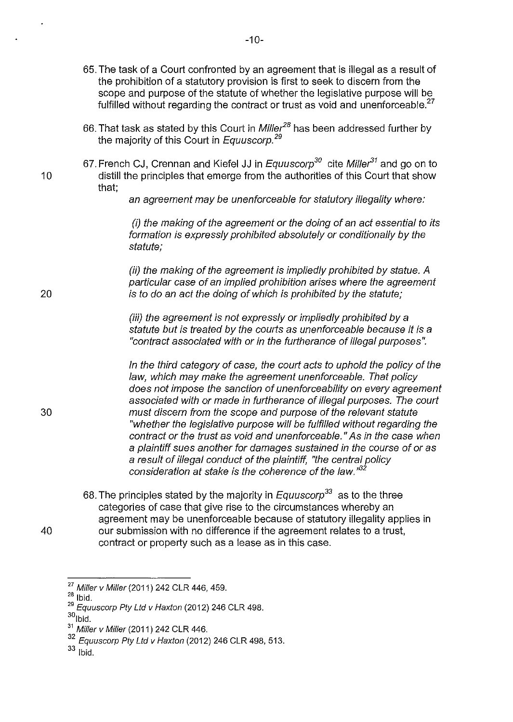- 65. The task of a Court confronted by an agreement that is illegal as a result of the prohibition of a statutory provision is first to seek to discern from the scope and purpose of the statute of whether the legislative purpose will be fulfilled without regarding the contract or trust as void and unenforceable.<sup>27</sup> 66. That task as stated by this Court in Mille?*<sup>8</sup>*has been addressed further by the majority of this Court in Equuscorp.<sup>29</sup> 67. French CJ, Crennan and Kiefel JJ in Equuscorp<sup>30</sup> cite Miller<sup>31</sup> and go on to 10 distill the principles that emerge from the authorities of this Court that show that; 20 an agreement may be unenforceable for statutory illegality where: *(i)* the making of the agreement or the doing of an act essential to its formation is expressly prohibited absolutely or conditionally by the statute; (ii) the making of the agreement is impliedly prohibited by statue. A particular case of an implied prohibition arises where the agreement is to do an act the doing of which is prohibited by the statute; (iii) the agreement is not expressly or impliedly prohibited by a statute but is treated by the courts as unenforceable because it is a "contract associated with or in the furtherance of illegal purposes". In the third category of case, the court acts to uphold the policy of the law, which may make the agreement unenforceable. That policy does not impose the sanction of unenforceability on every agreement associated with or made in furtherance of illegal purposes. The court 30 must discern from the scope and purpose of the relevant statute "whether the legislative purpose will be fulfilled without regarding the contract or the trust as void and unenforceable." As in the case when a plaintiff sues another for damages sustained in the course of or as a result of illegal conduct of the plaintiff, "the central policy consideration at stake is the coherence of the law."<sup>32</sup> 68. The principles stated by the majority in  $Equuscorp<sup>33</sup>$  as to the three categories of case that give rise to the circumstances whereby an agreement may be unenforceable because of statutory illegality applies in 40 our submission with no difference if the agreement relates to a trust,
	- contract or property such as a lease as in this case.

 $33$  lbid.

<sup>&</sup>lt;sup>27</sup> Miller v Miller (2011) 242 CLR 446, 459.

 $28$  Ibid.

<sup>&</sup>lt;sup>29</sup> Equuscorp Pty Ltd v Haxton (2012) 246 CLR 498.

 $30$ <sub>lbid.</sub>

<sup>&</sup>lt;sup>31</sup> Miller v Miller (2011) 242 CLR 446.

 $32$  Equuscorp Pty Ltd v Haxton (2012) 246 CLR 498, 513.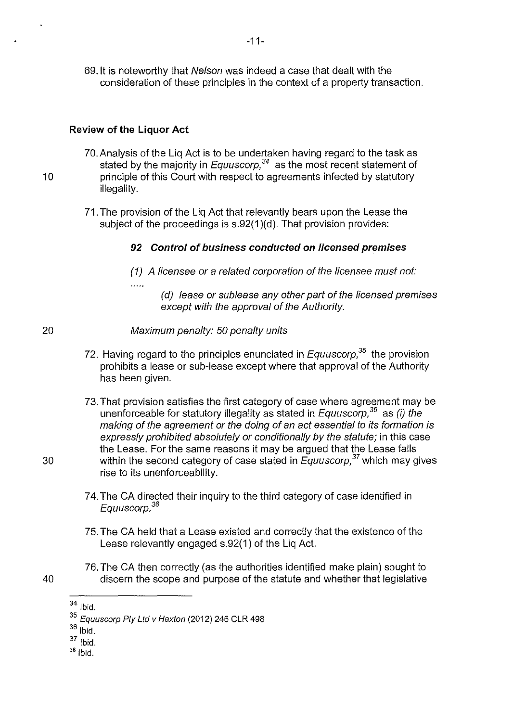69.1t is noteworthy that Nelson was indeed a case that dealt with the consideration of these principles in the context of a property transaction.

## **Review of the Liquor Act**

- 70.Analysis of the Liq Act is to be undertaken having regard to the task as stated by the majority in *Equuscorp*,<sup>34</sup> as the most recent statement of 10 **principle of this Court with respect to agreements infected by statutory** illegality.
	- 71. The provision of the Liq Act that relevantly bears upon the Lease the subject of the proceedings is s.92(1 )(d). That provision provides:

## **92 Control of business conducted on licensed premises**

(1) A licensee or a related corporation of the licensee must not:

. . . . .

- (d) lease or sublease any other part of the licensed premises except with the approval of the Authority.
- 20 Maximum penalty: 50 penalty units
	- 72. Having regard to the principles enunciated in *Equuscorp*,<sup>35</sup> the provision prohibits a lease or sub-lease except where that approval of the Authority has been given.
- 73. That provision satisfies the first category of case where agreement may be unenforceable for statutory illegality as stated in  $Equuscorp<sup>36</sup>$  as (i) the making of the agreement or the doing of an act essential to its formation is expressly prohibited absolutely or conditionally by the statute; in this case the Lease. For the same reasons it may be argued that the Lease falls 30 within the second category of case stated in Equuscorp/*7* which may gives rise to its unenforceability.
	- 7 4. The CA directed their inquiry to the third category of case identified in Equuscorp. *<sup>38</sup>*
	- 75. The CA held that a Lease existed and correctly that the existence of the Lease relevantly engaged s.92(1) of the Liq Act.
- 76. The CA then correctly (as the authorities identified make plain) sought to 40 discern the scope and purpose of the statute and whether that legislative

- $36$  Ibid.
- 37 Ibid.
- $38$  Ibid.

- 
- 

 $34$  lbid.

<sup>&</sup>lt;sup>35</sup> Equuscorp Pty Ltd v Haxton (2012) 246 CLR 498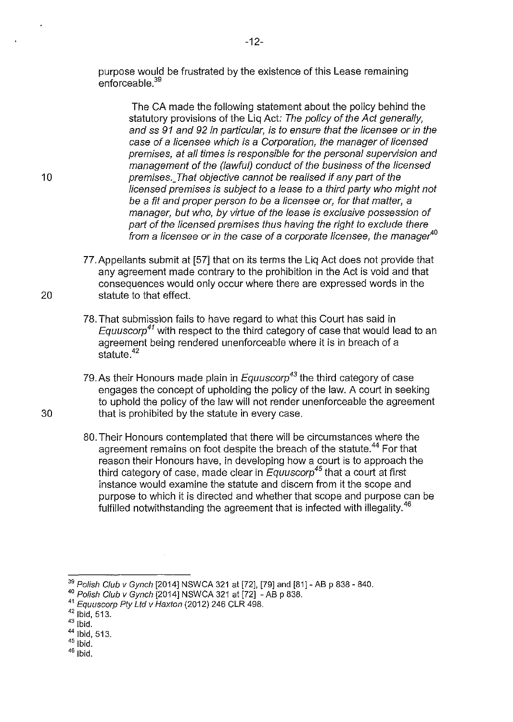purpose would be frustrated by the existence of this Lease remaining enforceable.<sup>39</sup>

The CA made the following statement about the policy behind the statutory provisions of the Lig Act: The policy of the Act generally, and ss 91 and 92 in particular, is to ensure that the licensee or in the case of a licensee which is a Corporation, the manager of licensed premises, at all times is responsible for the personal supervision and management of the (lawful) conduct of the business of the licensed 10 **premises.** That objective cannot be realised if any part of the licensed premises is subject to a lease to a third party who might not be a fit and proper person to be a licensee or, for that matter, a manager, but who, by virtue of the lease is exclusive possession of part of the licensed premises thus having the right to exclude there from a licensee or in the case of a corporate licensee, the manager*<sup>40</sup>*

- 77. Appellants submit at (57] that on its terms the Liq Act does not provide that any agreement made contrary to the prohibition in the Act is void and that consequences would only occur where there are expressed words in the 20 statute to that effect.
	- 78. That submission fails to have regard to what this Court has said in Equuscorp*<sup>41</sup>*with respect to the third category of case that would lead to an agreement being rendered unenforceable where it is in breach of a statute.<sup>42</sup>
- 79.As their Honours made plain in Equuscorp*43* the third category of case engages the concept of upholding the policy of the law. A court in seeking to uphold the policy of the law will not render unenforceable the agreement 30 that is prohibited by the statute in every case.
	- 80. Their Honours contemplated that there will be circumstances where the agreement remains on foot despite the breach of the statute.<sup>44</sup> For that reason their Honours have, in developing how a court is to approach the third category of case, made clear in Equuscorp*45* that a court at first instance would examine the statute and discern from it the scope and purpose to which it is directed and whether that scope and purpose can be fulfilled notwithstanding the agreement that is infected with illegality.<sup>46</sup>

<sup>&</sup>lt;sup>39</sup> Polish Club v Gynch [2014] NSWCA 321 at [72], [79] and [81] - AB p 838 - 840.

<sup>40</sup> Polish Club v Gynch [2014] NSWCA 321 at [72] - AB p 838.

<sup>&</sup>lt;sup>41</sup> Equuscorp Pty Ltd v Haxton (2012) 246 CLR 498.

 $42$  Ibid, 513.

 $43$  Ibid.

<sup>44</sup> Ibid, 513.

 $45$  |bid.

 $46$  Ibid.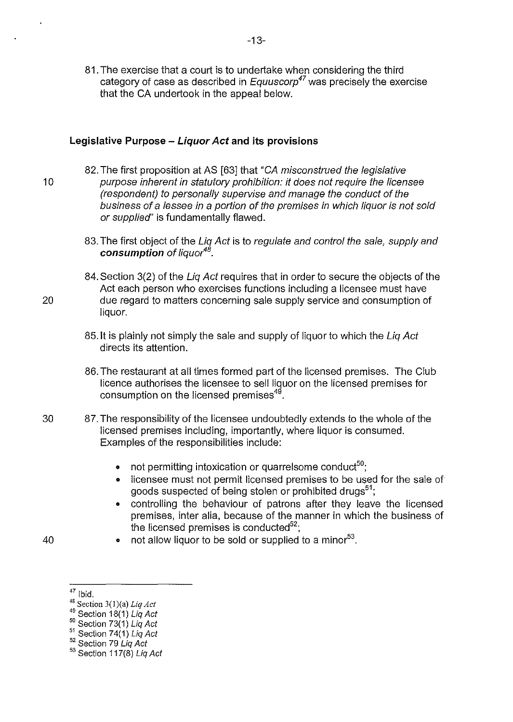81. The exercise that a court is to undertake when considering the third category of case as described in Equuscorp*47* was precisely the exercise that the CA undertook in the appeal below.

### **Legislative Purpose - Liquor Act and its provisions**

- 82. The first proposition at AS [63] that "CA misconstrued the legislative 10 purpose inherent in statutory prohibition: it does not require the licensee (respondent) to personally supervise and manage the conduct of the business of a lessee in a portion of the premises in which liquor is not sold or supplied'' is fundamentally flawed.
	- 83. The first object of the Liq Act is to regulate and control the sale, supply and **consumption** of liquor<sup>48</sup>.
- 84. Section 3(2) of the Liq Act requires that in order to secure the objects of the Act each person who exercises functions including a licensee must have 20 due regard to matters concerning sale supply service and consumption of liquor.
	- 85. It is plainly not simply the sale and supply of liquor to which the Liq Act directs its attention.
	- 86. The restaurant at all times formed part of the licensed premises. The Club licence authorises the licensee to sell liquor on the licensed premises for consumption on the licensed premises<sup>49</sup>.
- 30 87. The responsibility of the licensee undoubtedly extends to the whole of the licensed premises including, importantly, where liquor is consumed. Examples of the responsibilities include:
	- not permitting intoxication or quarrelsome conduct<sup>50</sup>;
	- licensee must not permit licensed premises to be used for the sale of goods suspected of being stolen or prohibited drugs<sup>51</sup>;
	- controlling the behaviour of patrons after they leave the licensed premises, inter alia, because of the manner in which the business of the licensed premises is conducted $52$ ;
- 40 not allow liquor to be sold or supplied to a minor<sup>53</sup>.
	- $47$  Ibid.

<sup>48</sup> Section 3(l)(a) *Liq Act* 

 $49$  Section 18(1) Liq Act

 $50$  Section 73(1) Liq Act

<sup>&</sup>lt;sup>51</sup> Section 74(1) Liq Act

<sup>&</sup>lt;sup>52</sup> Section 79 Liq Act

<sup>53</sup> Section 117(8) Liq Act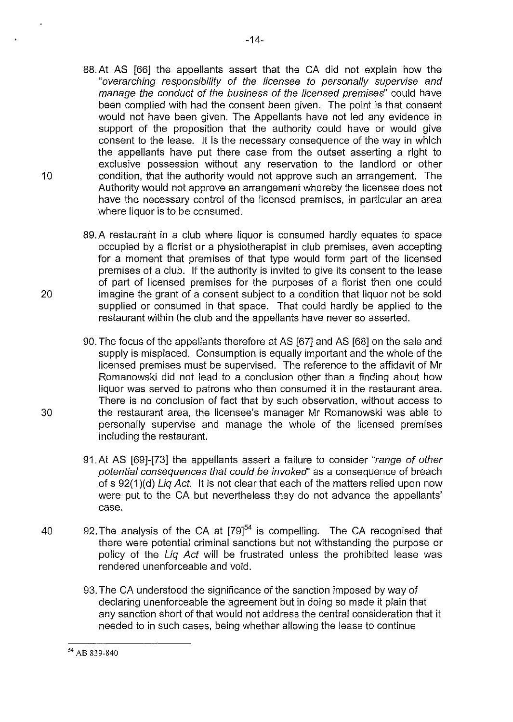- 88.At AS [66] the appellants assert that the CA did not explain how the "overarching responsibility of the licensee to personally supervise and manage the conduct of the business of the licensed premises" could have been complied with had the consent been given. The point is that consent would not have been given. The Appellants have not led any evidence in support of the proposition that the authority could have or would give consent to the lease. It is the necessary consequence of the way in which the appellants have put there case from the outset asserting a right to exclusive possession without any reservation to the landlord or other 10 condition, that the authority would not approve such an arrangement. The Authority would not approve an arrangement whereby the licensee does not have the necessary control of the licensed premises, in particular an area where liquor is to be consumed.
- 89.A restaurant in a club where liquor is consumed hardly equates to space occupied by a florist or a physiotherapist in club premises, even accepting for a moment that premises of that type would form part of the licensed premises of a club. If the authority is invited to give its consent to the lease of part of licensed premises for the purposes of a florist then one could 20 imagine the grant of a consent subject to a condition that liquor not be sold supplied or consumed in that space. That could hardly be applied to the restaurant within the club and the appellants have never so asserted.
- 90. The focus of the appellants therefore at AS [67] and AS [68] on the sale and supply is misplaced. Consumption is equally important and the whole of the licensed premises must be supervised. The reference to the affidavit of Mr Romanowski did not lead to a conclusion other than a finding about how liquor was served to patrons who then consumed it in the restaurant area. There is no conclusion of fact that by such observation, without access to 30 the restaurant area, the licensee's manager Mr Romanowski was able to personally supervise and manage the whole of the licensed premises including the restaurant.
	- 91. At AS [69]-[73] the appellants assert a failure to consider "range of other potential consequences that could be invoked' as a consequence of breach of s 92(1)(d) Lig Act. It is not clear that each of the matters relied upon now were put to the CA but nevertheless they do not advance the appellants' case.
- 40 92. The analysis of the CA at  $[79]^{54}$  is compelling. The CA recognised that there were potential criminal sanctions but not withstanding the purpose or policy of the Liq Act will be frustrated unless the prohibited lease was rendered unenforceable and void.
	- 93. The CA understood the significance of the sanction imposed by way of declaring unenforceable the agreement but in doing so made it plain that any sanction short of that would not address the central consideration that it needed to in such cases, being whether allowing the lease to continue

<sup>54</sup> AB 839-840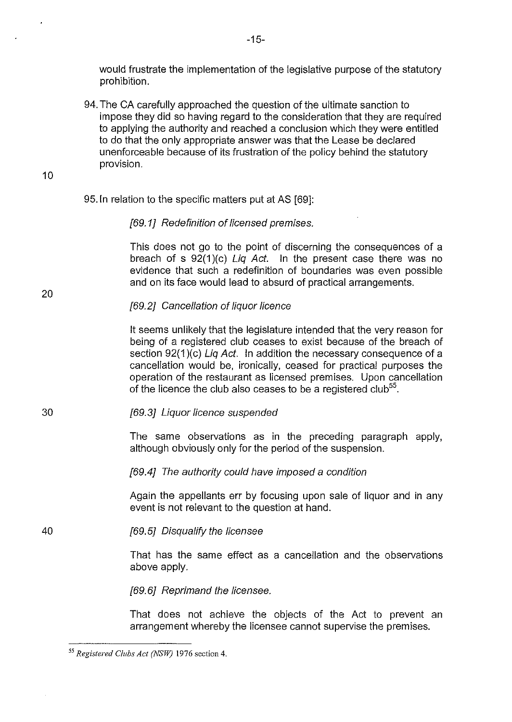would frustrate the implementation of the legislative purpose of the statutory prohibition.

94. The CA carefully approached the question of the ultimate sanction to impose they did so having regard to the consideration that they are required to applying the authority and reached a conclusion which they were entitled to do that the only appropriate answer was that the Lease be declared unenforceable because of its frustration of the policy behind the statutory provision.

10

20

### 95.1n relation to the specific matters put at AS [69]:

### [69.1] Redefinition of licensed premises.

This does not go to the point of discerning the consequences of a breach of s  $92(1)(c)$  Liq Act. In the present case there was no evidence that such a redefinition of boundaries was even possible and on its face would lead to absurd of practical arrangements.

### [69.2] Cancellation of liquor licence

It seems unlikely that the legislature intended that the very reason for being of a registered club ceases to exist because of the breach of section 92(1)(c) Liq Act. In addition the necessary consequence of a cancellation would be, ironically, ceased for practical purposes the operation of the restaurant as licensed premises. Upon cancellation of the licence the club also ceases to be a registered club<sup>55</sup>.

30 [69.3] Liquor licence suspended

> The same observations as in the preceding paragraph apply, although obviously only for the period of the suspension.

[69.4] The authority could have imposed a condition

Again the appellants err by focusing upon sale of liquor and in any event is not relevant to the question at hand.

40 [69.5] Disqualify the licensee

> That has the same effect as a cancellation and the observations above apply.

[69.6] Reprimand the licensee.

That does not achieve the objects of the Act to prevent an arrangement whereby the licensee cannot supervise the premises.

<sup>55</sup>*Registered Clubs Act (NSW)* 1976 section 4.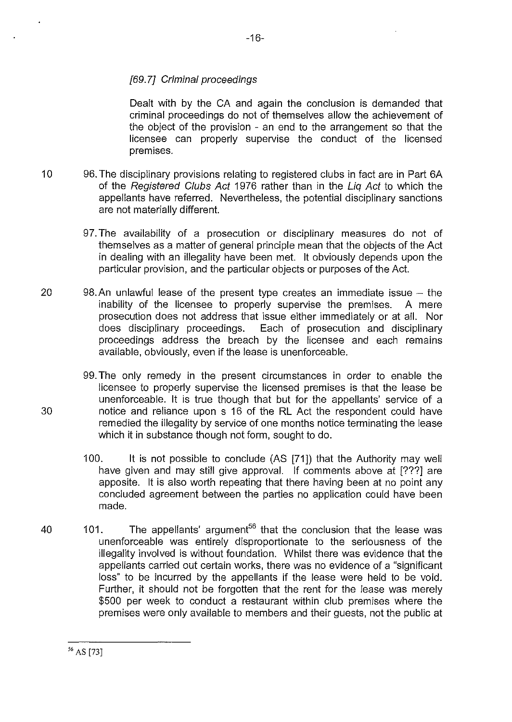# [69.7] Criminal proceedings

Dealt with by the CA and again the conclusion is demanded that criminal proceedings do not of themselves allow the achievement of the object of the provision - an end to the arrangement so that the licensee can properly supervise the conduct of the licensed premises.

- 10 96. The disciplinary provisions relating to registered clubs in fact are in Part 6A of the Registered Clubs Act 1976 rather than in the Liq Act to which the appellants have referred. Nevertheless, the potential disciplinary sanctions are not materially different.
	- 97. The availability of a prosecution or disciplinary measures do not of themselves as a matter of general principle mean that the objects of the Act in dealing with an illegality have been met. It obviously depends upon the particular provision, and the particular objects or purposes of the Act.
- 20 98.An unlawful lease of the present type creates an immediate issue the inability of the licensee to properly supervise the premises. A mere prosecution does not address that issue either immediately or at all. Nor does disciplinary proceedings. Each of prosecution and disciplinary proceedings address the breach by the licensee and each remains available, obviously, even if the lease is unenforceable.
- 99. The only remedy in the present circumstances in order to enable the licensee to properly supervise the licensed premises is that the lease be unenforceable. It is true though that but for the appellants' service of a 30 notice and reliance upon s 16 of the RL Act the respondent could have remedied the illegality by service of one months notice terminating the lease which it in substance though not form, sought to do.
	- 100. It is not possible to conclude (AS (71]) that the Authority may well have given and may still give approval. If comments above at [???] are apposite. It is also worth repeating that there having been at no point any concluded agreement between the parties no application could have been made.
- 40 101. The appellants' argument<sup>56</sup> that the conclusion that the lease was unenforceable was entirely disproportionate to the seriousness of the illegality involved is without foundation. Whilst there was evidence that the appellants carried out certain works, there was no evidence of a "significant loss" to be incurred by the appellants if the lease were held to be void. Further, it should not be forgotten that the rent for the lease was merely \$500 per week to conduct a restaurant within club premises where the premises were only available to members and their guests, not the public at

<sup>56</sup> AS [73]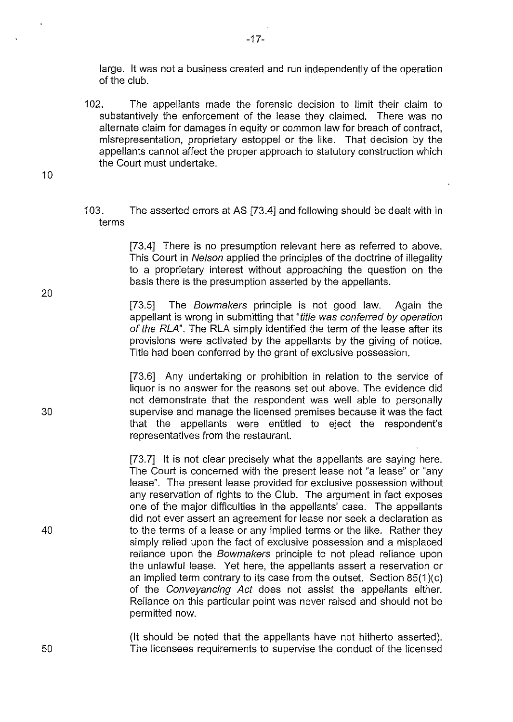large. It was not a business created and run independently of the operation of the club.

102. The appellants made the forensic decision to limit their claim to substantively the enforcement of the lease they claimed. There was no alternate claim for damages in equity or common law for breach of contract, misrepresentation, proprietary estoppel or the like. That decision by the appellants cannot affect the proper approach to statutory construction which the Court must undertake.

10

103. The asserted errors at AS [73.4] and following should be dealt with in terms

> [73.4] There is no presumption relevant here as referred to above. This Court in Nelson applied the principles of the doctrine of illegality to a proprietary interest without approaching the question on the basis there is the presumption asserted by the appellants.

> [73.5] The Bowmakers principle is not good law. Again the appellant is wrong in submitting that "title was conferred by operation of the RLA". The RLA simply identified the term of the lease after its provisions were activated by the appellants by the giving of notice. Title had been conferred by the grant of exclusive possession.

> [73.6] Any undertaking or prohibition in relation to the service of liquor is no answer for the reasons set out above. The evidence did not demonstrate that the respondent was well able to personally supervise and manage the licensed premises because it was the fact that the appellants were entitled to eject the respondent's representatives from the restaurant.

> [73.7] It is not clear precisely what the appellants are saying here. The Court is concerned with the present lease not "a lease" or "any lease". The present lease provided for exclusive possession without any reservation of rights to the Club. The argument in fact exposes one of the major difficulties in the appellants' case. The appellants did not ever assert an agreement for lease nor seek a declaration as to the terms of a lease or any implied terms or the like. Rather they simply relied upon the fact of exclusive possession and a misplaced reliance upon the Bowmakers principle to not plead reliance upon the unlawful lease. Yet here, the appellants assert a reservation or an implied term contrary to its case from the outset. Section 85(1 )(c) of the Conveyancing Act does not assist the appellants either. Reliance on this particular point was never raised and should not be permitted now.

(It should be noted that the appellants have not hitherto asserted). The licensees requirements to supervise the conduct of the licensed

20

30

40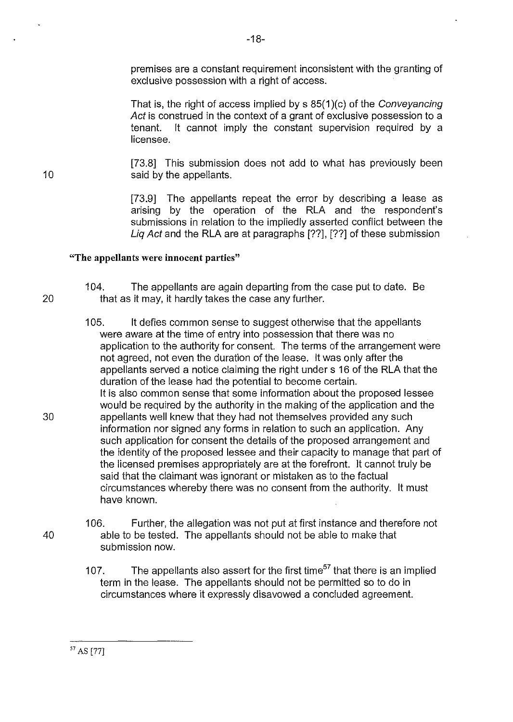premises are a constant requirement inconsistent with the granting of exclusive possession with a right of access.

That is, the right of access implied by s 85(1 )(c) of the Conveyancing Act is construed in the context of a grant of exclusive possession to a tenant. It cannot imply the constant supervision required by a licensee.

[73.8] This submission does not add to what has previously been said by the appellants.

[73.9] The appellants repeat the error by describing a lease as arising by the operation of the RLA and the respondent's submissions in relation to the impliedly asserted conflict between the Liq Act and the RLA are at paragraphs [??], [??] of these submission

### "The appellants were innocent parties"

- 1 04. The appellants are again departing from the case put to date. Be 20 that as it may, it hardly takes the case any further.
- 105. It defies common sense to suggest otherwise that the appellants were aware at the time of entry into possession that there was no application to the authority for consent. The terms of the arrangement were not agreed, not even the duration of the lease. It was only after the appellants served a notice claiming the right under s 16 of the RLA that the duration of the lease had the potential to become certain. It is also common sense that some information about the proposed lessee would be required by the authority in the making of the application and the 30 appellants well knew that they had not themselves provided any such information nor signed any forms in relation to such an application. Any such application for consent the details of the proposed arrangement and the identity of the proposed lessee and their capacity to manage that part of the licensed premises appropriately are at the forefront. It cannot truly be said that the claimant was ignorant or mistaken as to the factual circumstances whereby there was no consent from the authority. It must have known.
- 106. Further, the allegation was not put at first instance and therefore not 40 able to be tested. The appellants should not be able to make that submission now.
	- 107. The appellants also assert for the first time<sup>57</sup> that there is an implied term in the lease. The appellants should not be permitted so to do in circumstances where it expressly disavowed a concluded agreement.

10

57 AS [77]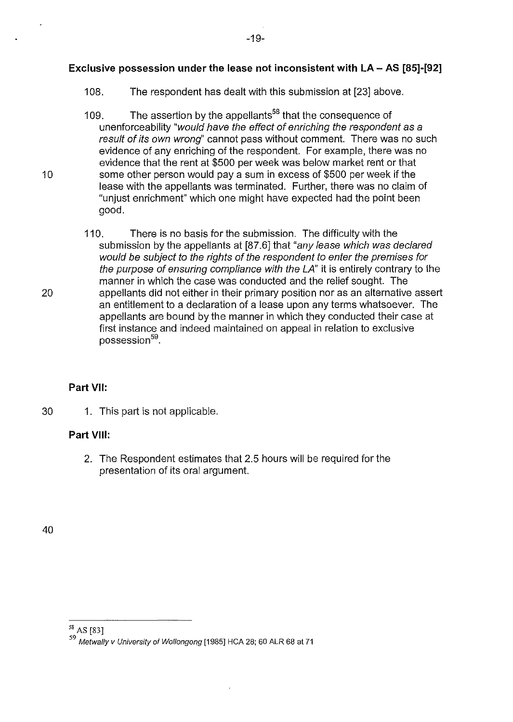# **Exclusive possession under the lease not inconsistent with LA- AS [85]-[92]**

- 108. The respondent has dealt with this submission at [23] above.
- 109. The assertion by the appellants<sup>58</sup> that the consequence of unenforceability "would have the effect of enriching the respondent as a result of its own wrong'' cannot pass without comment. There was no such evidence of any enriching of the respondent. For example, there was no evidence that the rent at \$500 per week was below market rent or that 10 some other person would pay a sum in excess of \$500 per week if the lease with the appellants was terminated. Further, there was no claim of "unjust enrichment" which one might have expected had the point been good.
- 110. There is no basis for the submission. The difficulty with the submission by the appellants at [87.6] that "any lease which was declared would be subject to the rights of the respondent to enter the premises for the purpose of ensuring compliance with the LA" it is entirely contrary to the manner in which the case was conducted and the relief sought. The 20 appellants did not either in their primary position nor as an alternative assert an entitlement to a declaration of a lease upon any terms whatsoever. The appellants are bound by the manner in which they conducted their case at first instance and indeed maintained on appeal in relation to exclusive possession<sup>59</sup>.

### **Part VII:**

30 1. This part is not applicable.

# **Part VIII:**

2. The Respondent estimates that 2.5 hours will be required for the presentation of its oral argument.

<sup>58</sup> AS [83]

<sup>59</sup> Metwally v University of Wollongong [1985] HCA 28; 60 ALR 68 at 71